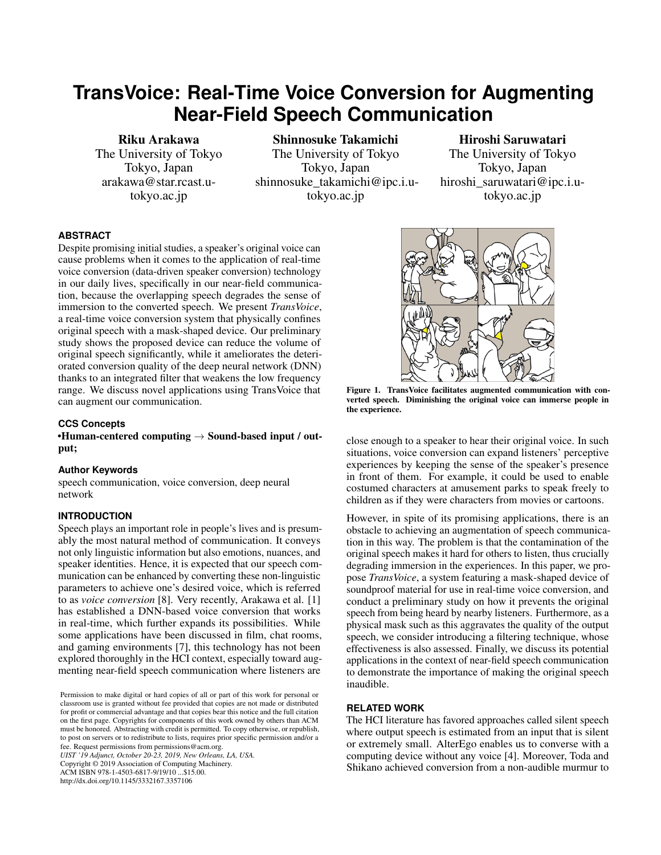# **TransVoice: Real-Time Voice Conversion for Augmenting Near-Field Speech Communication**

Riku Arakawa The University of Tokyo Tokyo, Japan arakawa@star.rcast.utokyo.ac.jp

Shinnosuke Takamichi The University of Tokyo Tokyo, Japan shinnosuke\_takamichi@ipc.i.utokyo.ac.jp

Hiroshi Saruwatari The University of Tokyo Tokyo, Japan hiroshi\_saruwatari@ipc.i.utokyo.ac.jp

# **ABSTRACT**

Despite promising initial studies, a speaker's original voice can cause problems when it comes to the application of real-time voice conversion (data-driven speaker conversion) technology in our daily lives, specifically in our near-field communication, because the overlapping speech degrades the sense of immersion to the converted speech. We present *TransVoice*, a real-time voice conversion system that physically confines original speech with a mask-shaped device. Our preliminary study shows the proposed device can reduce the volume of original speech significantly, while it ameliorates the deteriorated conversion quality of the deep neural network (DNN) thanks to an integrated filter that weakens the low frequency range. We discuss novel applications using TransVoice that can augment our communication.

## **CCS Concepts**

•Human-centered computing  $\rightarrow$  Sound-based input / output;

# **Author Keywords**

speech communication, voice conversion, deep neural network

# **INTRODUCTION**

Speech plays an important role in people's lives and is presumably the most natural method of communication. It conveys not only linguistic information but also emotions, nuances, and speaker identities. Hence, it is expected that our speech communication can be enhanced by converting these non-linguistic parameters to achieve one's desired voice, which is referred to as *voice conversion* [\[8\]](#page-2-0). Very recently, Arakawa et al. [\[1\]](#page-2-1) has established a DNN-based voice conversion that works in real-time, which further expands its possibilities. While some applications have been discussed in film, chat rooms, and gaming environments [\[7\]](#page-2-2), this technology has not been explored thoroughly in the HCI context, especially toward augmenting near-field speech communication where listeners are

Permission to make digital or hard copies of all or part of this work for personal or classroom use is granted without fee provided that copies are not made or distributed for profit or commercial advantage and that copies bear this notice and the full citation on the first page. Copyrights for components of this work owned by others than ACM must be honored. Abstracting with credit is permitted. To copy otherwise, or republish, to post on servers or to redistribute to lists, requires prior specific permission and/or a fee. Request permissions from permissions@acm.org.

*UIST '19 Adjunct, October 20-23, 2019, New Orleans, LA, USA.* Copyright © 2019 Association of Computing Machinery. ACM ISBN 978-1-4503-6817-9/19/10 ...\$15.00.

http://dx.doi.org/10.1145/3332167.3357106

<span id="page-0-0"></span>Figure 1. TransVoice facilitates augmented communication with converted speech. Diminishing the original voice can immerse people in the experience.

close enough to a speaker to hear their original voice. In such situations, voice conversion can expand listeners' perceptive experiences by keeping the sense of the speaker's presence in front of them. For example, it could be used to enable costumed characters at amusement parks to speak freely to children as if they were characters from movies or cartoons.

However, in spite of its promising applications, there is an obstacle to achieving an augmentation of speech communication in this way. The problem is that the contamination of the original speech makes it hard for others to listen, thus crucially degrading immersion in the experiences. In this paper, we propose *TransVoice*, a system featuring a mask-shaped device of soundproof material for use in real-time voice conversion, and conduct a preliminary study on how it prevents the original speech from being heard by nearby listeners. Furthermore, as a physical mask such as this aggravates the quality of the output speech, we consider introducing a filtering technique, whose effectiveness is also assessed. Finally, we discuss its potential applications in the context of near-field speech communication to demonstrate the importance of making the original speech inaudible.

# **RELATED WORK**

The HCI literature has favored approaches called silent speech where output speech is estimated from an input that is silent or extremely small. AlterEgo enables us to converse with a computing device without any voice [\[4\]](#page-2-3). Moreover, Toda and Shikano achieved conversion from a non-audible murmur to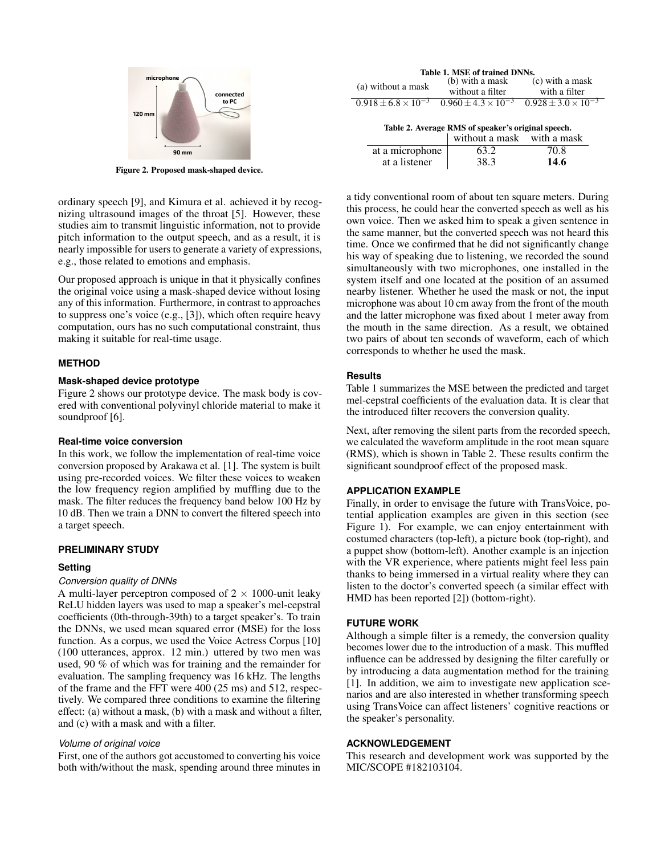

<span id="page-1-0"></span>Figure 2. Proposed mask-shaped device.

ordinary speech [\[9\]](#page-2-4), and Kimura et al. achieved it by recognizing ultrasound images of the throat [\[5\]](#page-2-5). However, these studies aim to transmit linguistic information, not to provide pitch information to the output speech, and as a result, it is nearly impossible for users to generate a variety of expressions, e.g., those related to emotions and emphasis.

Our proposed approach is unique in that it physically confines the original voice using a mask-shaped device without losing any of this information. Furthermore, in contrast to approaches to suppress one's voice (e.g., [\[3\]](#page-2-6)), which often require heavy computation, ours has no such computational constraint, thus making it suitable for real-time usage.

## **METHOD**

# **Mask-shaped device prototype**

Figure [2](#page-1-0) shows our prototype device. The mask body is covered with conventional polyvinyl chloride material to make it soundproof [\[6\]](#page-2-7).

### **Real-time voice conversion**

In this work, we follow the implementation of real-time voice conversion proposed by Arakawa et al. [\[1\]](#page-2-1). The system is built using pre-recorded voices. We filter these voices to weaken the low frequency region amplified by muffling due to the mask. The filter reduces the frequency band below 100 Hz by 10 dB. Then we train a DNN to convert the filtered speech into a target speech.

#### **PRELIMINARY STUDY**

#### **Setting**

#### *Conversion quality of DNNs*

A multi-layer perceptron composed of  $2 \times 1000$ -unit leaky ReLU hidden layers was used to map a speaker's mel-cepstral coefficients (0th-through-39th) to a target speaker's. To train the DNNs, we used mean squared error (MSE) for the loss function. As a corpus, we used the Voice Actress Corpus [\[10\]](#page-2-8) (100 utterances, approx. 12 min.) uttered by two men was used, 90 % of which was for training and the remainder for evaluation. The sampling frequency was 16 kHz. The lengths of the frame and the FFT were 400 (25 ms) and 512, respectively. We compared three conditions to examine the filtering effect: (a) without a mask, (b) with a mask and without a filter, and (c) with a mask and with a filter.

#### *Volume of original voice*

First, one of the authors got accustomed to converting his voice both with/without the mask, spending around three minutes in

<span id="page-1-1"></span>

| Table 1. MSE of trained DNNs.                      |                                                           |                              |  |  |
|----------------------------------------------------|-----------------------------------------------------------|------------------------------|--|--|
| (a) without a mask                                 | (b) with a mask                                           | (c) with a mask              |  |  |
|                                                    | without a filter                                          | with a filter                |  |  |
|                                                    | $0.918 + 6.8 \times 10^{-3}$ $0.960 + 4.3 \times 10^{-3}$ | $0.928 + 3.0 \times 10^{-3}$ |  |  |
| Table 2. Average RMS of speaker's original speech. |                                                           |                              |  |  |

<span id="page-1-2"></span>

|                 | without a mask with a mask |      |
|-----------------|----------------------------|------|
| at a microphone | 63.2                       | 70.8 |
| at a listener   | 38.3                       | 14.6 |

a tidy conventional room of about ten square meters. During this process, he could hear the converted speech as well as his own voice. Then we asked him to speak a given sentence in the same manner, but the converted speech was not heard this time. Once we confirmed that he did not significantly change his way of speaking due to listening, we recorded the sound simultaneously with two microphones, one installed in the system itself and one located at the position of an assumed nearby listener. Whether he used the mask or not, the input microphone was about 10 cm away from the front of the mouth and the latter microphone was fixed about 1 meter away from the mouth in the same direction. As a result, we obtained two pairs of about ten seconds of waveform, each of which corresponds to whether he used the mask.

# **Results**

Table [1](#page-1-1) summarizes the MSE between the predicted and target mel-cepstral coefficients of the evaluation data. It is clear that the introduced filter recovers the conversion quality.

Next, after removing the silent parts from the recorded speech, we calculated the waveform amplitude in the root mean square (RMS), which is shown in Table [2.](#page-1-2) These results confirm the significant soundproof effect of the proposed mask.

# **APPLICATION EXAMPLE**

Finally, in order to envisage the future with TransVoice, potential application examples are given in this section (see Figure [1\)](#page-0-0). For example, we can enjoy entertainment with costumed characters (top-left), a picture book (top-right), and a puppet show (bottom-left). Another example is an injection with the VR experience, where patients might feel less pain thanks to being immersed in a virtual reality where they can listen to the doctor's converted speech (a similar effect with HMD has been reported [\[2\]](#page-2-9)) (bottom-right).

## **FUTURE WORK**

Although a simple filter is a remedy, the conversion quality becomes lower due to the introduction of a mask. This muffled influence can be addressed by designing the filter carefully or by introducing a data augmentation method for the training [\[1\]](#page-2-1). In addition, we aim to investigate new application scenarios and are also interested in whether transforming speech using TransVoice can affect listeners' cognitive reactions or the speaker's personality.

## **ACKNOWLEDGEMENT**

This research and development work was supported by the MIC/SCOPE #182103104.